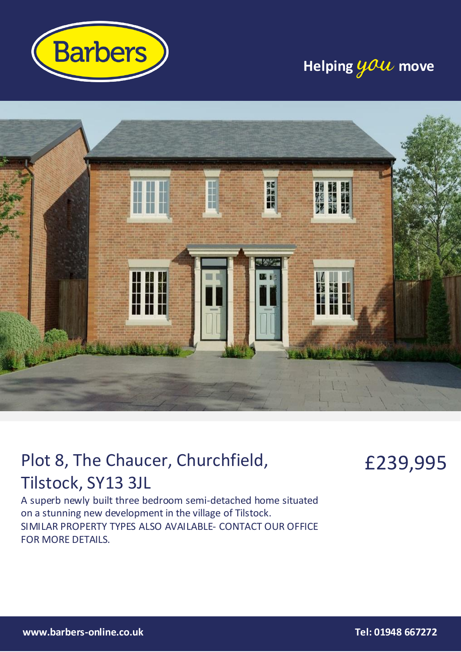

### **Helping you move**



## Plot 8, The Chaucer, Churchfield, Tilstock, SY13 3JL

£239,995

A superb newly built three bedroom semi-detached home situated on a stunning new development in the village of Tilstock. SIMILAR PROPERTY TYPES ALSO AVAILABLE- CONTACT OUR OFFICE FOR MORE DETAILS.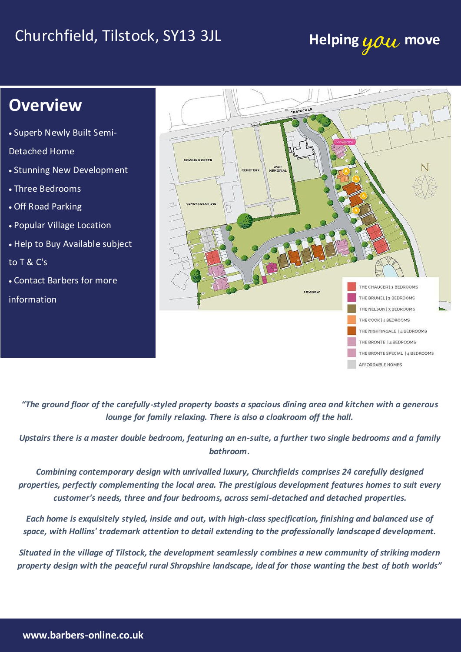# Churchfield, Tilstock, SY13 3JL **Helping you move**

### **Overview**

Superb Newly Built Semi-

Detached Home

- Stunning New Development
- Three Bedrooms
- Off Road Parking
- Popular Village Location
- Help to Buy Available subject

to T & C's

Contact Barbers for more

information



*"The ground floor of the carefully-styled property boasts a spacious dining area and kitchen with a generous lounge for family relaxing. There is also a cloakroom off the hall.*

*Upstairs there is a master double bedroom, featuring an en-suite, a further two single bedrooms and a family bathroom.*

*Combining contemporary design with unrivalled luxury, Churchfields comprises 24 carefully designed properties, perfectly complementing the local area. The prestigious development features homes to suit every customer's needs, three and four bedrooms, across semi-detached and detached properties.*

*Each home is exquisitely styled, inside and out, with high-class specification, finishing and balanced use of space, with Hollins' trademark attention to detail extending to the professionally landscaped development.*

*Situated in the village of Tilstock, the development seamlessly combines a new community of striking modern property design with the peaceful rural Shropshire landscape, ideal for those wanting the best of both worlds"*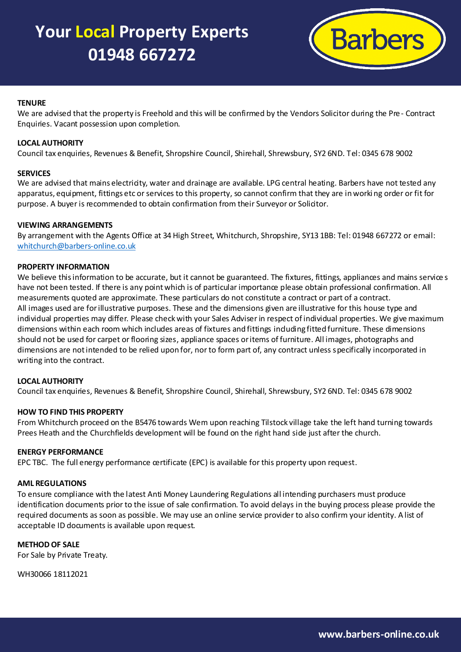### **Your Local Property Experts 01948 667272**



#### **TENURE**

We are advised that the property is Freehold and this will be confirmed by the Vendors Solicitor during the Pre- Contract Enquiries. Vacant possession upon completion.

#### **LOCAL AUTHORITY**

Council tax enquiries, Revenues & Benefit, Shropshire Council, Shirehall, Shrewsbury, SY2 6ND. Tel: 0345 678 9002

#### **SERVICES**

We are advised that mains electricity, water and drainage are available. LPG central heating. Barbers have not tested any apparatus, equipment, fittings etc or services to this property, so cannot confirm that they are in worki ng order or fit for purpose. A buyer is recommended to obtain confirmation from their Surveyor or Solicitor.

#### **VIEWING ARRANGEMENTS**

By arrangement with the Agents Office at 34 High Street, Whitchurch, Shropshire, SY13 1BB: Tel: 01948 667272 or email: [whitchurch@barbers-online.co.uk](mailto:whitchurch@barbers-online.co.uk)

#### **PROPERTY INFORMATION**

We believe this information to be accurate, but it cannot be guaranteed. The fixtures, fittings, appliances and mains service s have not been tested. If there is any point which is of particular importance please obtain professional confirmation. All measurements quoted are approximate. These particulars do not constitute a contract or part of a contract. All images used are for illustrative purposes. These and the dimensions given are illustrative for this house type and individual properties may differ. Please check with your Sales Adviser in respect of individual properties. We give maximum dimensions within each room which includes areas of fixtures and fittings including fitted furniture. These dimensions should not be used for carpet or flooring sizes, appliance spaces or items of furniture. All images, photographs and dimensions are not intended to be relied upon for, nor to form part of, any contract unless specifically incorporated in writing into the contract.

#### **LOCAL AUTHORITY**

Council tax enquiries, Revenues & Benefit, Shropshire Council, Shirehall, Shrewsbury, SY2 6ND. Tel: 0345 678 9002

#### **HOW TO FIND THIS PROPERTY**

From Whitchurch proceed on the B5476 towards Wem upon reaching Tilstock village take the left hand turning towards Prees Heath and the Churchfields development will be found on the right hand side just after the church.

#### **ENERGY PERFORMANCE**

EPC TBC. The full energy performance certificate (EPC) is available for this property upon request.

#### **AML REGULATIONS**

To ensure compliance with the latest Anti Money Laundering Regulations all intending purchasers must produce identification documents prior to the issue of sale confirmation. To avoid delays in the buying process please provide the required documents as soon as possible. We may use an online service provider to also confirm your identity. A list of acceptable ID documents is available upon request.

#### **METHOD OF SALE**

For Sale by Private Treaty.

WH30066 18112021